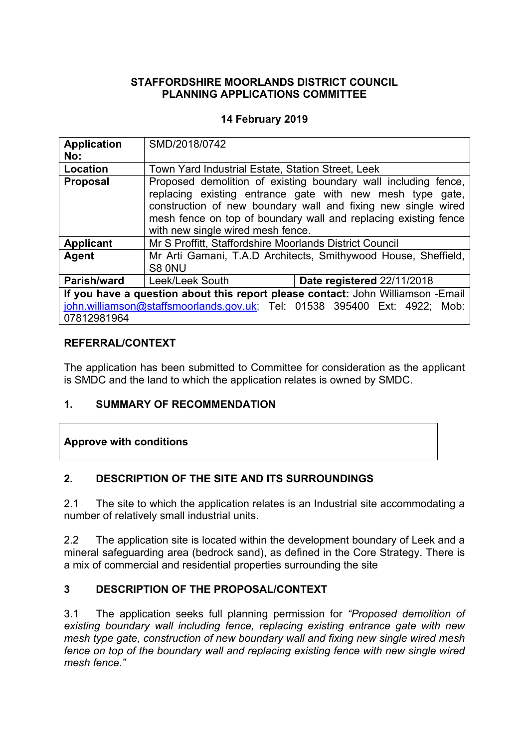### **STAFFORDSHIRE MOORLANDS DISTRICT COUNCIL PLANNING APPLICATIONS COMMITTEE**

### **14 February 2019**

| <b>Application</b><br>No:                                                                | SMD/2018/0742                                                                                                                                                                                                                                                                                        |  |
|------------------------------------------------------------------------------------------|------------------------------------------------------------------------------------------------------------------------------------------------------------------------------------------------------------------------------------------------------------------------------------------------------|--|
| <b>Location</b>                                                                          | Town Yard Industrial Estate, Station Street, Leek                                                                                                                                                                                                                                                    |  |
| <b>Proposal</b>                                                                          | Proposed demolition of existing boundary wall including fence,<br>replacing existing entrance gate with new mesh type gate,<br>construction of new boundary wall and fixing new single wired<br>mesh fence on top of boundary wall and replacing existing fence<br>with new single wired mesh fence. |  |
| <b>Applicant</b>                                                                         | Mr S Proffitt, Staffordshire Moorlands District Council                                                                                                                                                                                                                                              |  |
| Agent                                                                                    | Mr Arti Gamani, T.A.D Architects, Smithywood House, Sheffield,<br>S8 0NU                                                                                                                                                                                                                             |  |
| <b>Parish/ward</b>                                                                       | Leek/Leek South<br>Date registered 22/11/2018                                                                                                                                                                                                                                                        |  |
| If you have a question about this report please contact: John Williamson -Email          |                                                                                                                                                                                                                                                                                                      |  |
| john.williamson@staffsmoorlands.gov.uk; Tel: 01538 395400 Ext: 4922; Mob:<br>07812981964 |                                                                                                                                                                                                                                                                                                      |  |

#### **REFERRAL/CONTEXT**

The application has been submitted to Committee for consideration as the applicant is SMDC and the land to which the application relates is owned by SMDC.

#### **1. SUMMARY OF RECOMMENDATION**

# **Approve with conditions**

# **2. DESCRIPTION OF THE SITE AND ITS SURROUNDINGS**

2.1 The site to which the application relates is an Industrial site accommodating a number of relatively small industrial units.

2.2 The application site is located within the development boundary of Leek and a mineral safeguarding area (bedrock sand), as defined in the Core Strategy. There is a mix of commercial and residential properties surrounding the site

# **3 DESCRIPTION OF THE PROPOSAL/CONTEXT**

3.1 The application seeks full planning permission for *"Proposed demolition of existing boundary wall including fence, replacing existing entrance gate with new mesh type gate, construction of new boundary wall and fixing new single wired mesh fence on top of the boundary wall and replacing existing fence with new single wired mesh fence."*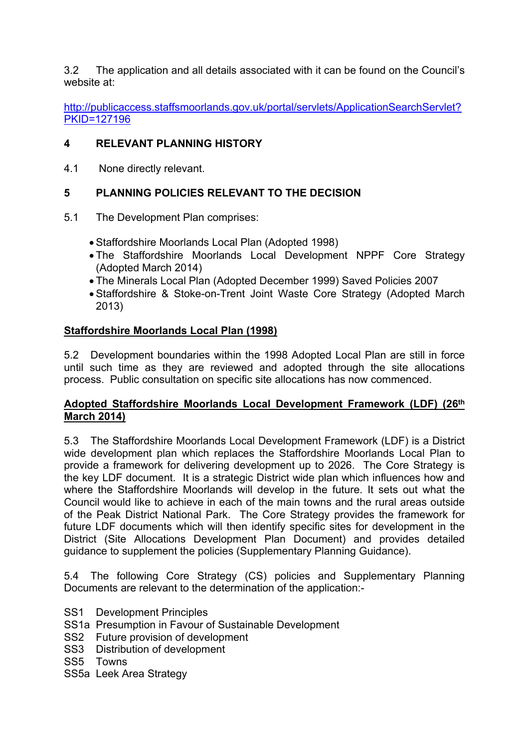3.2 The application and all details associated with it can be found on the Council's website at:

[http://publicaccess.staffsmoorlands.gov.uk/portal/servlets/ApplicationSearchServlet?](http://publicaccess.staffsmoorlands.gov.uk/portal/servlets/ApplicationSearchServlet?PKID=127196) [PKID=127196](http://publicaccess.staffsmoorlands.gov.uk/portal/servlets/ApplicationSearchServlet?PKID=127196)

# **4 RELEVANT PLANNING HISTORY**

4.1 None directly relevant.

# **5 PLANNING POLICIES RELEVANT TO THE DECISION**

- 5.1 The Development Plan comprises:
	- Staffordshire Moorlands Local Plan (Adopted 1998)
	- The Staffordshire Moorlands Local Development NPPF Core Strategy (Adopted March 2014)
	- The Minerals Local Plan (Adopted December 1999) Saved Policies 2007
	- Staffordshire & Stoke-on-Trent Joint Waste Core Strategy (Adopted March 2013)

# **Staffordshire Moorlands Local Plan (1998)**

5.2 Development boundaries within the 1998 Adopted Local Plan are still in force until such time as they are reviewed and adopted through the site allocations process. Public consultation on specific site allocations has now commenced.

# **Adopted Staffordshire Moorlands Local Development Framework (LDF) (26th March 2014)**

5.3 The Staffordshire Moorlands Local Development Framework (LDF) is a District wide development plan which replaces the Staffordshire Moorlands Local Plan to provide a framework for delivering development up to 2026. The Core Strategy is the key LDF document. It is a strategic District wide plan which influences how and where the Staffordshire Moorlands will develop in the future. It sets out what the Council would like to achieve in each of the main towns and the rural areas outside of the Peak District National Park. The Core Strategy provides the framework for future LDF documents which will then identify specific sites for development in the District (Site Allocations Development Plan Document) and provides detailed guidance to supplement the policies (Supplementary Planning Guidance).

5.4 The following Core Strategy (CS) policies and Supplementary Planning Documents are relevant to the determination of the application:-

- SS1 Development Principles
- SS1a Presumption in Favour of Sustainable Development
- SS2 Future provision of development
- SS3 Distribution of development
- SS5 Towns
- SS5a Leek Area Strategy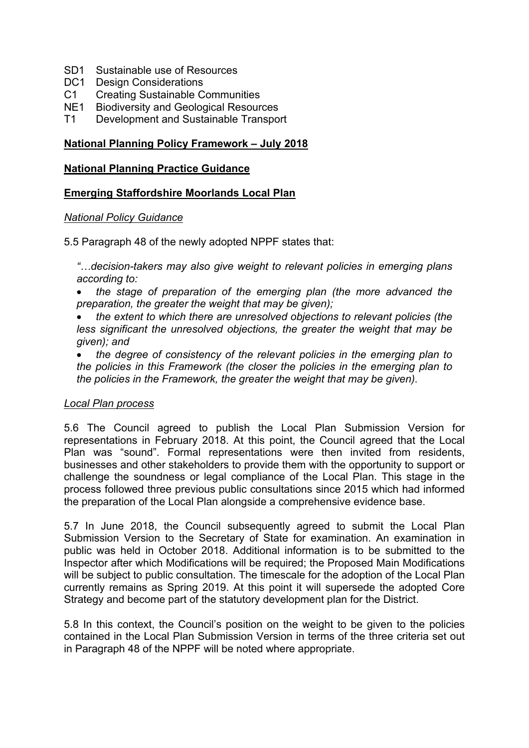- SD1 Sustainable use of Resources
- DC1 Design Considerations
- C1 Creating Sustainable Communities<br>NE1 Biodiversity and Geological Resoure
- **Biodiversity and Geological Resources**
- T1 Development and Sustainable Transport

#### **National Planning Policy Framework – July 2018**

#### **National Planning Practice Guidance**

#### **Emerging Staffordshire Moorlands Local Plan**

#### *National Policy Guidance*

5.5 Paragraph 48 of the newly adopted NPPF states that:

*"…decision-takers may also give weight to relevant policies in emerging plans according to:*

- *the stage of preparation of the emerging plan (the more advanced the preparation, the greater the weight that may be given);*
- *the extent to which there are unresolved objections to relevant policies (the less significant the unresolved objections, the greater the weight that may be given); and*
- *the degree of consistency of the relevant policies in the emerging plan to the policies in this Framework (the closer the policies in the emerging plan to the policies in the Framework, the greater the weight that may be given).*

#### *Local Plan process*

5.6 The Council agreed to publish the Local Plan Submission Version for representations in February 2018. At this point, the Council agreed that the Local Plan was "sound". Formal representations were then invited from residents, businesses and other stakeholders to provide them with the opportunity to support or challenge the soundness or legal compliance of the Local Plan. This stage in the process followed three previous public consultations since 2015 which had informed the preparation of the Local Plan alongside a comprehensive evidence base.

5.7 In June 2018, the Council subsequently agreed to submit the Local Plan Submission Version to the Secretary of State for examination. An examination in public was held in October 2018. Additional information is to be submitted to the Inspector after which Modifications will be required; the Proposed Main Modifications will be subject to public consultation. The timescale for the adoption of the Local Plan currently remains as Spring 2019. At this point it will supersede the adopted Core Strategy and become part of the statutory development plan for the District.

5.8 In this context, the Council's position on the weight to be given to the policies contained in the Local Plan Submission Version in terms of the three criteria set out in Paragraph 48 of the NPPF will be noted where appropriate.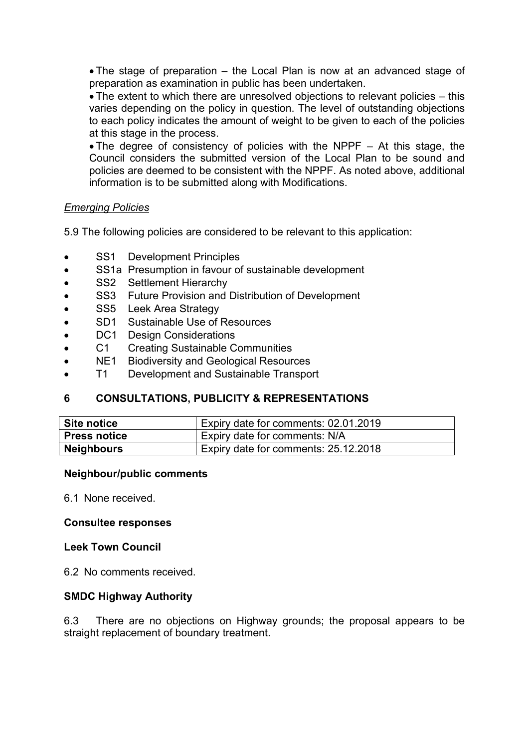The stage of preparation – the Local Plan is now at an advanced stage of preparation as examination in public has been undertaken.

 The extent to which there are unresolved objections to relevant policies – this varies depending on the policy in question. The level of outstanding objections to each policy indicates the amount of weight to be given to each of the policies at this stage in the process.

 The degree of consistency of policies with the NPPF – At this stage, the Council considers the submitted version of the Local Plan to be sound and policies are deemed to be consistent with the NPPF. As noted above, additional information is to be submitted along with Modifications.

#### *Emerging Policies*

5.9 The following policies are considered to be relevant to this application:

- SS1 Development Principles
- SS1a Presumption in favour of sustainable development
- SS2 Settlement Hierarchy
- SS3 Future Provision and Distribution of Development
- SS5 Leek Area Strategy
- SD1 Sustainable Use of Resources
- DC1 Design Considerations
- C1 Creating Sustainable Communities
- NE1 Biodiversity and Geological Resources
- T1 Development and Sustainable Transport

# **6 CONSULTATIONS, PUBLICITY & REPRESENTATIONS**

| Site notice         | Expiry date for comments: 02.01.2019 |
|---------------------|--------------------------------------|
| <b>Press notice</b> | Expiry date for comments: N/A        |
| <b>Neighbours</b>   | Expiry date for comments: 25.12.2018 |

#### **Neighbour/public comments**

6.1 None received.

#### **Consultee responses**

#### **Leek Town Council**

6.2 No comments received.

#### **SMDC Highway Authority**

6.3 There are no objections on Highway grounds; the proposal appears to be straight replacement of boundary treatment.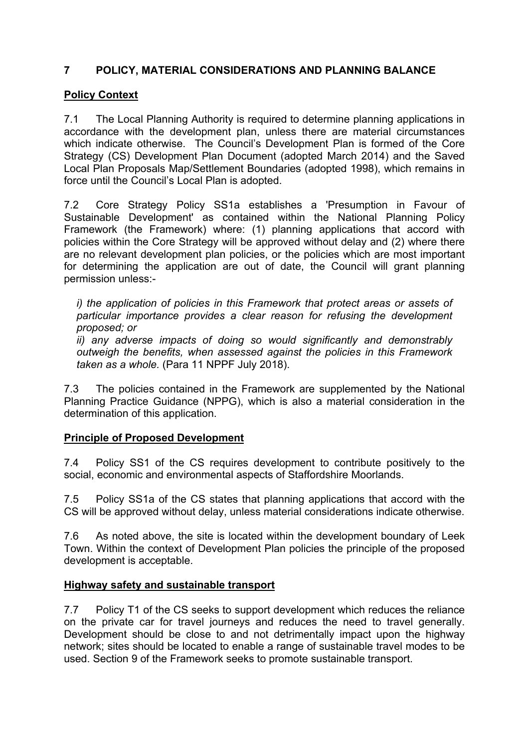# **7 POLICY, MATERIAL CONSIDERATIONS AND PLANNING BALANCE**

### **Policy Context**

7.1 The Local Planning Authority is required to determine planning applications in accordance with the development plan, unless there are material circumstances which indicate otherwise. The Council's Development Plan is formed of the Core Strategy (CS) Development Plan Document (adopted March 2014) and the Saved Local Plan Proposals Map/Settlement Boundaries (adopted 1998), which remains in force until the Council's Local Plan is adopted.

7.2 Core Strategy Policy SS1a establishes a 'Presumption in Favour of Sustainable Development' as contained within the National Planning Policy Framework (the Framework) where: (1) planning applications that accord with policies within the Core Strategy will be approved without delay and (2) where there are no relevant development plan policies, or the policies which are most important for determining the application are out of date, the Council will grant planning permission unless:-

*i) the application of policies in this Framework that protect areas or assets of particular importance provides a clear reason for refusing the development proposed; or*

*ii) any adverse impacts of doing so would significantly and demonstrably outweigh the benefits, when assessed against the policies in this Framework taken as a whole.* (Para 11 NPPF July 2018).

7.3 The policies contained in the Framework are supplemented by the National Planning Practice Guidance (NPPG), which is also a material consideration in the determination of this application.

#### **Principle of Proposed Development**

7.4 Policy SS1 of the CS requires development to contribute positively to the social, economic and environmental aspects of Staffordshire Moorlands.

7.5 Policy SS1a of the CS states that planning applications that accord with the CS will be approved without delay, unless material considerations indicate otherwise.

7.6 As noted above, the site is located within the development boundary of Leek Town. Within the context of Development Plan policies the principle of the proposed development is acceptable.

#### **Highway safety and sustainable transport**

7.7 Policy T1 of the CS seeks to support development which reduces the reliance on the private car for travel journeys and reduces the need to travel generally. Development should be close to and not detrimentally impact upon the highway network; sites should be located to enable a range of sustainable travel modes to be used. Section 9 of the Framework seeks to promote sustainable transport.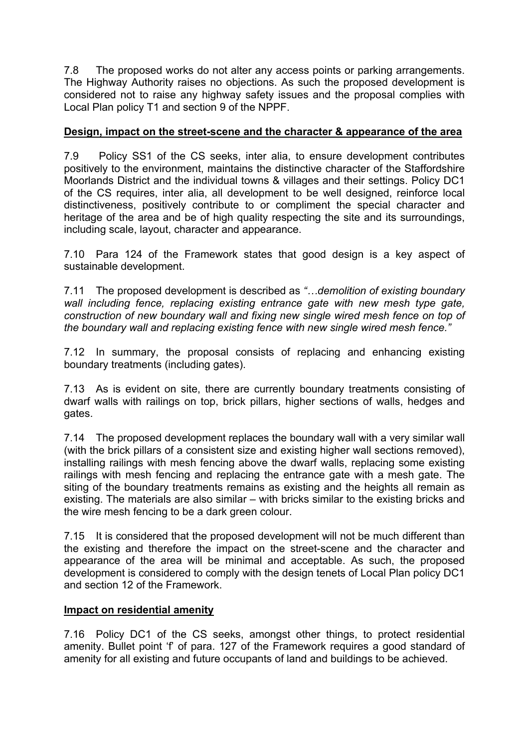7.8 The proposed works do not alter any access points or parking arrangements. The Highway Authority raises no objections. As such the proposed development is considered not to raise any highway safety issues and the proposal complies with Local Plan policy T1 and section 9 of the NPPF.

# **Design, impact on the street-scene and the character & appearance of the area**

7.9 Policy SS1 of the CS seeks, inter alia, to ensure development contributes positively to the environment, maintains the distinctive character of the Staffordshire Moorlands District and the individual towns & villages and their settings. Policy DC1 of the CS requires, inter alia, all development to be well designed, reinforce local distinctiveness, positively contribute to or compliment the special character and heritage of the area and be of high quality respecting the site and its surroundings, including scale, layout, character and appearance.

7.10 Para 124 of the Framework states that good design is a key aspect of sustainable development.

7.11 The proposed development is described as *"…demolition of existing boundary wall including fence, replacing existing entrance gate with new mesh type gate, construction of new boundary wall and fixing new single wired mesh fence on top of the boundary wall and replacing existing fence with new single wired mesh fence."*

7.12 In summary, the proposal consists of replacing and enhancing existing boundary treatments (including gates).

7.13 As is evident on site, there are currently boundary treatments consisting of dwarf walls with railings on top, brick pillars, higher sections of walls, hedges and gates.

7.14 The proposed development replaces the boundary wall with a very similar wall (with the brick pillars of a consistent size and existing higher wall sections removed), installing railings with mesh fencing above the dwarf walls, replacing some existing railings with mesh fencing and replacing the entrance gate with a mesh gate. The siting of the boundary treatments remains as existing and the heights all remain as existing. The materials are also similar – with bricks similar to the existing bricks and the wire mesh fencing to be a dark green colour.

7.15 It is considered that the proposed development will not be much different than the existing and therefore the impact on the street-scene and the character and appearance of the area will be minimal and acceptable. As such, the proposed development is considered to comply with the design tenets of Local Plan policy DC1 and section 12 of the Framework.

#### **Impact on residential amenity**

7.16 Policy DC1 of the CS seeks, amongst other things, to protect residential amenity. Bullet point 'f' of para. 127 of the Framework requires a good standard of amenity for all existing and future occupants of land and buildings to be achieved.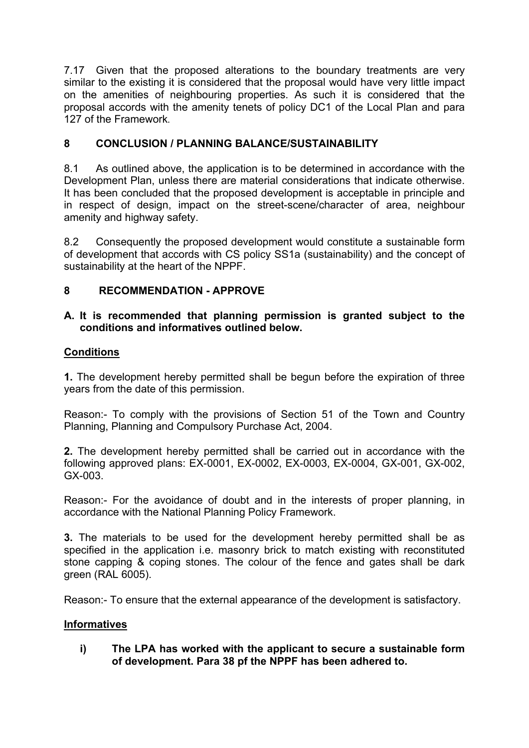7.17 Given that the proposed alterations to the boundary treatments are very similar to the existing it is considered that the proposal would have very little impact on the amenities of neighbouring properties. As such it is considered that the proposal accords with the amenity tenets of policy DC1 of the Local Plan and para 127 of the Framework.

# **8 CONCLUSION / PLANNING BALANCE/SUSTAINABILITY**

8.1 As outlined above, the application is to be determined in accordance with the Development Plan, unless there are material considerations that indicate otherwise. It has been concluded that the proposed development is acceptable in principle and in respect of design, impact on the street-scene/character of area, neighbour amenity and highway safety.

8.2 Consequently the proposed development would constitute a sustainable form of development that accords with CS policy SS1a (sustainability) and the concept of sustainability at the heart of the NPPF.

# **8 RECOMMENDATION - APPROVE**

### **A. It is recommended that planning permission is granted subject to the conditions and informatives outlined below.**

### **Conditions**

**1.** The development hereby permitted shall be begun before the expiration of three years from the date of this permission.

Reason:- To comply with the provisions of Section 51 of the Town and Country Planning, Planning and Compulsory Purchase Act, 2004.

**2.** The development hereby permitted shall be carried out in accordance with the following approved plans: EX-0001, EX-0002, EX-0003, EX-0004, GX-001, GX-002, GX-003.

Reason:- For the avoidance of doubt and in the interests of proper planning, in accordance with the National Planning Policy Framework.

**3.** The materials to be used for the development hereby permitted shall be as specified in the application i.e. masonry brick to match existing with reconstituted stone capping & coping stones. The colour of the fence and gates shall be dark green (RAL 6005).

Reason:- To ensure that the external appearance of the development is satisfactory.

# **Informatives**

**i) The LPA has worked with the applicant to secure a sustainable form of development. Para 38 pf the NPPF has been adhered to.**